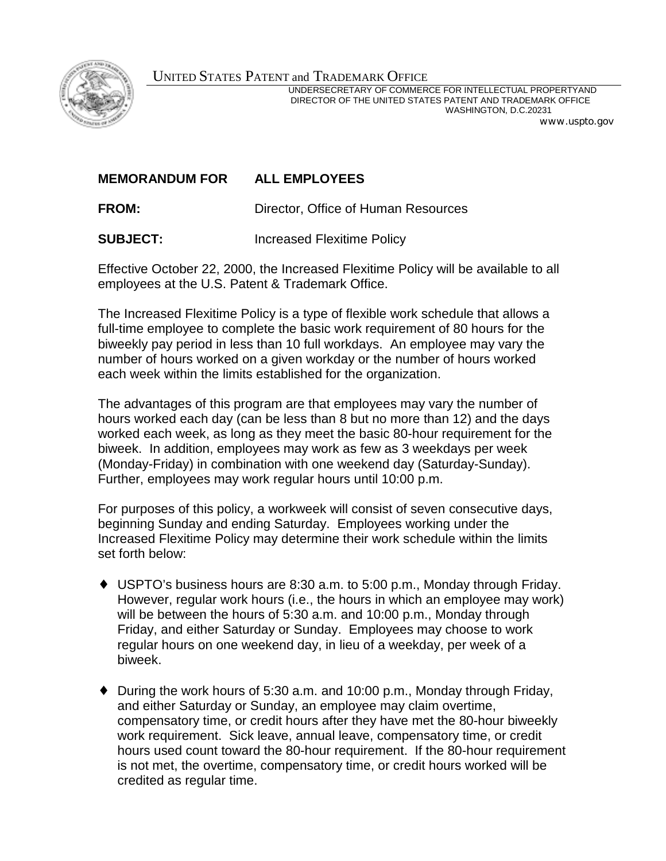

UNITED STATES PATENT and TRADEMARK OFFICE

 UNDERSECRETARY OF COMMERCE FOR INTELLECTUAL PROPERTYAND DIRECTOR OF THE UNITED STATES PATENT AND TRADEMARK OFFICE WASHINGTON, D.C.20231

www.uspto.gov

## **MEMORANDUM FOR ALL EMPLOYEES**

**FROM:** Director, Office of Human Resources

**SUBJECT:** Increased Flexitime Policy

Effective October 22, 2000, the Increased Flexitime Policy will be available to all employees at the U.S. Patent & Trademark Office.

The Increased Flexitime Policy is a type of flexible work schedule that allows a full-time employee to complete the basic work requirement of 80 hours for the biweekly pay period in less than 10 full workdays. An employee may vary the number of hours worked on a given workday or the number of hours worked each week within the limits established for the organization.

The advantages of this program are that employees may vary the number of hours worked each day (can be less than 8 but no more than 12) and the days worked each week, as long as they meet the basic 80-hour requirement for the biweek. In addition, employees may work as few as 3 weekdays per week (Monday-Friday) in combination with one weekend day (Saturday-Sunday). Further, employees may work regular hours until 10:00 p.m.

For purposes of this policy, a workweek will consist of seven consecutive days, beginning Sunday and ending Saturday. Employees working under the Increased Flexitime Policy may determine their work schedule within the limits set forth below:

- ♦ USPTO's business hours are 8:30 a.m. to 5:00 p.m., Monday through Friday. However, regular work hours (i.e., the hours in which an employee may work) will be between the hours of 5:30 a.m. and 10:00 p.m., Monday through Friday, and either Saturday or Sunday. Employees may choose to work regular hours on one weekend day, in lieu of a weekday, per week of a biweek.
- ♦ During the work hours of 5:30 a.m. and 10:00 p.m., Monday through Friday, and either Saturday or Sunday, an employee may claim overtime, compensatory time, or credit hours after they have met the 80-hour biweekly work requirement. Sick leave, annual leave, compensatory time, or credit hours used count toward the 80-hour requirement. If the 80-hour requirement is not met, the overtime, compensatory time, or credit hours worked will be credited as regular time.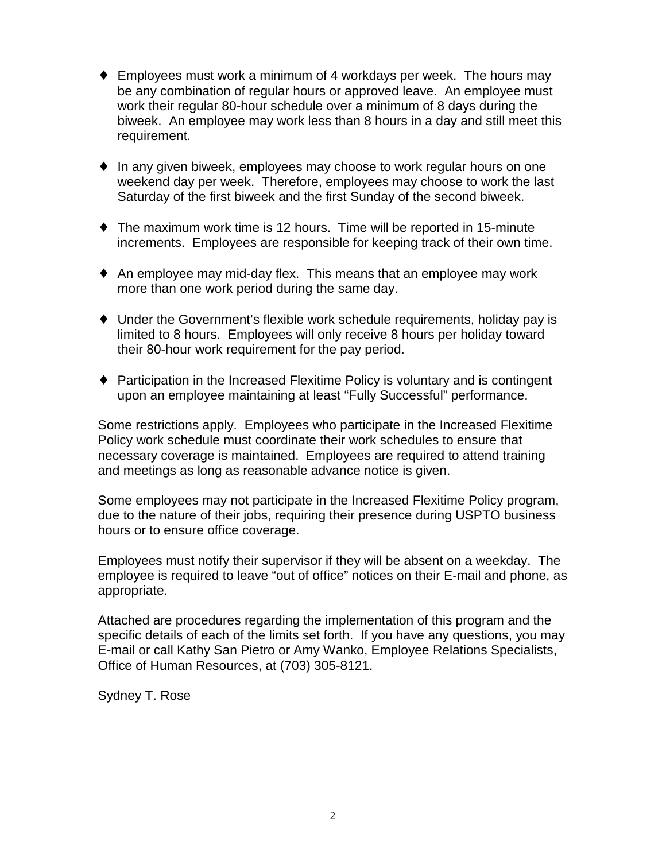- $\bullet$  Employees must work a minimum of 4 workdays per week. The hours may be any combination of regular hours or approved leave. An employee must work their regular 80-hour schedule over a minimum of 8 days during the biweek. An employee may work less than 8 hours in a day and still meet this requirement.
- ♦ In any given biweek, employees may choose to work regular hours on one weekend day per week. Therefore, employees may choose to work the last Saturday of the first biweek and the first Sunday of the second biweek.
- ♦ The maximum work time is 12 hours. Time will be reported in 15-minute increments. Employees are responsible for keeping track of their own time.
- $\triangle$  An employee may mid-day flex. This means that an employee may work more than one work period during the same day.
- ♦ Under the Government's flexible work schedule requirements, holiday pay is limited to 8 hours. Employees will only receive 8 hours per holiday toward their 80-hour work requirement for the pay period.
- ♦ Participation in the Increased Flexitime Policy is voluntary and is contingent upon an employee maintaining at least "Fully Successful" performance.

Some restrictions apply. Employees who participate in the Increased Flexitime Policy work schedule must coordinate their work schedules to ensure that necessary coverage is maintained. Employees are required to attend training and meetings as long as reasonable advance notice is given.

Some employees may not participate in the Increased Flexitime Policy program, due to the nature of their jobs, requiring their presence during USPTO business hours or to ensure office coverage.

Employees must notify their supervisor if they will be absent on a weekday. The employee is required to leave "out of office" notices on their E-mail and phone, as appropriate.

Attached are procedures regarding the implementation of this program and the specific details of each of the limits set forth. If you have any questions, you may E-mail or call Kathy San Pietro or Amy Wanko, Employee Relations Specialists, Office of Human Resources, at (703) 305-8121.

Sydney T. Rose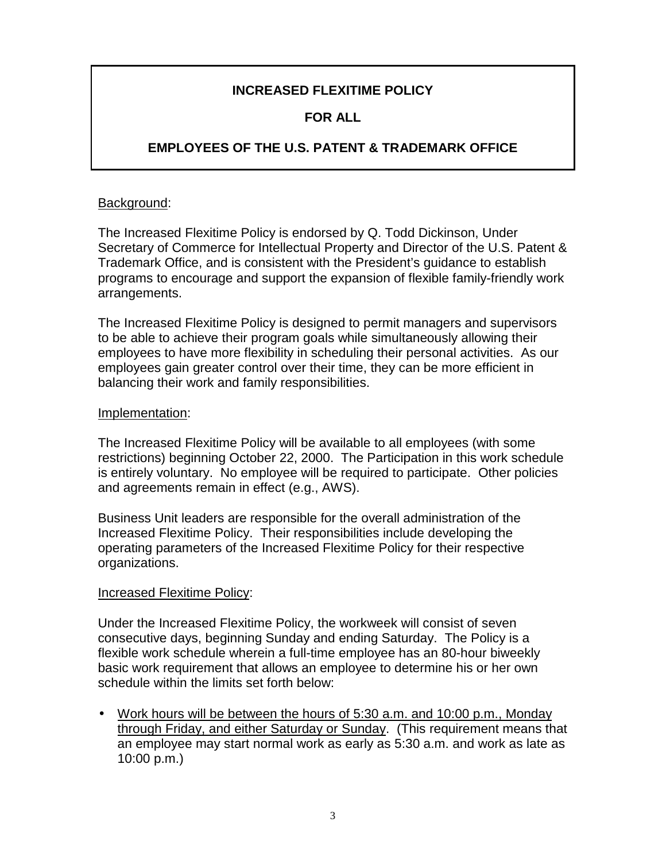## **INCREASED FLEXITIME POLICY**

# **FOR ALL**

# **EMPLOYEES OF THE U.S. PATENT & TRADEMARK OFFICE**

#### Background:

The Increased Flexitime Policy is endorsed by Q. Todd Dickinson, Under Secretary of Commerce for Intellectual Property and Director of the U.S. Patent & Trademark Office, and is consistent with the President's guidance to establish programs to encourage and support the expansion of flexible family-friendly work arrangements.

The Increased Flexitime Policy is designed to permit managers and supervisors to be able to achieve their program goals while simultaneously allowing their employees to have more flexibility in scheduling their personal activities. As our employees gain greater control over their time, they can be more efficient in balancing their work and family responsibilities.

#### Implementation:

The Increased Flexitime Policy will be available to all employees (with some restrictions) beginning October 22, 2000. The Participation in this work schedule is entirely voluntary. No employee will be required to participate. Other policies and agreements remain in effect (e.g., AWS).

Business Unit leaders are responsible for the overall administration of the Increased Flexitime Policy. Their responsibilities include developing the operating parameters of the Increased Flexitime Policy for their respective organizations.

### Increased Flexitime Policy:

Under the Increased Flexitime Policy, the workweek will consist of seven consecutive days, beginning Sunday and ending Saturday. The Policy is a flexible work schedule wherein a full-time employee has an 80-hour biweekly basic work requirement that allows an employee to determine his or her own schedule within the limits set forth below:

• Work hours will be between the hours of 5:30 a.m. and 10:00 p.m., Monday through Friday, and either Saturday or Sunday. (This requirement means that an employee may start normal work as early as 5:30 a.m. and work as late as 10:00 p.m.)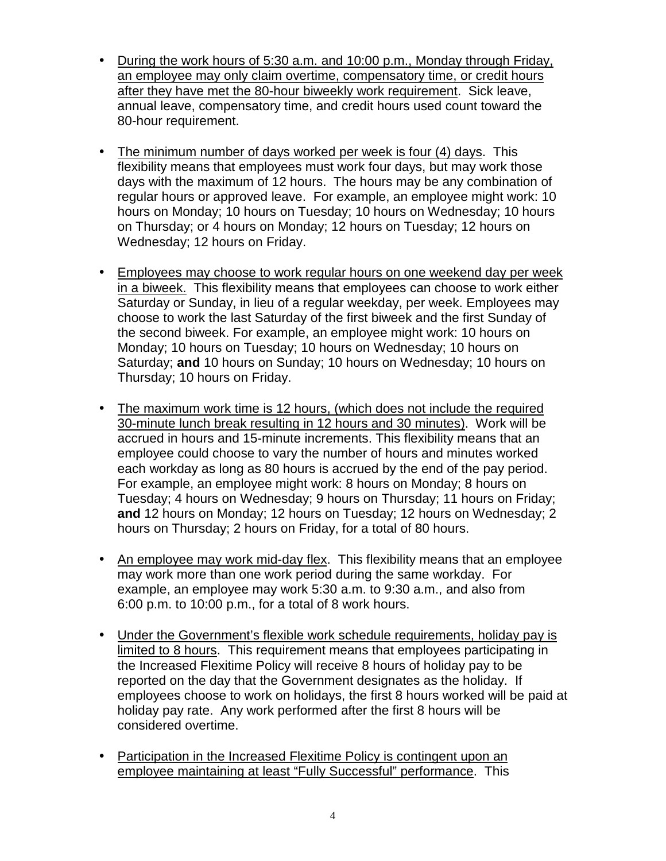- During the work hours of 5:30 a.m. and 10:00 p.m., Monday through Friday, an employee may only claim overtime, compensatory time, or credit hours after they have met the 80-hour biweekly work requirement. Sick leave, annual leave, compensatory time, and credit hours used count toward the 80-hour requirement.
- The minimum number of days worked per week is four (4) days. This flexibility means that employees must work four days, but may work those days with the maximum of 12 hours. The hours may be any combination of regular hours or approved leave. For example, an employee might work: 10 hours on Monday; 10 hours on Tuesday; 10 hours on Wednesday; 10 hours on Thursday; or 4 hours on Monday; 12 hours on Tuesday; 12 hours on Wednesday; 12 hours on Friday.
- Employees may choose to work regular hours on one weekend day per week in a biweek. This flexibility means that employees can choose to work either Saturday or Sunday, in lieu of a regular weekday, per week. Employees may choose to work the last Saturday of the first biweek and the first Sunday of the second biweek. For example, an employee might work: 10 hours on Monday; 10 hours on Tuesday; 10 hours on Wednesday; 10 hours on Saturday; **and** 10 hours on Sunday; 10 hours on Wednesday; 10 hours on Thursday; 10 hours on Friday.
- The maximum work time is 12 hours, (which does not include the required 30-minute lunch break resulting in 12 hours and 30 minutes). Work will be accrued in hours and 15-minute increments. This flexibility means that an employee could choose to vary the number of hours and minutes worked each workday as long as 80 hours is accrued by the end of the pay period. For example, an employee might work: 8 hours on Monday; 8 hours on Tuesday; 4 hours on Wednesday; 9 hours on Thursday; 11 hours on Friday; **and** 12 hours on Monday; 12 hours on Tuesday; 12 hours on Wednesday; 2 hours on Thursday; 2 hours on Friday, for a total of 80 hours.
- An employee may work mid-day flex. This flexibility means that an employee may work more than one work period during the same workday. For example, an employee may work 5:30 a.m. to 9:30 a.m., and also from 6:00 p.m. to 10:00 p.m., for a total of 8 work hours.
- Under the Government's flexible work schedule requirements, holiday pay is limited to 8 hours. This requirement means that employees participating in the Increased Flexitime Policy will receive 8 hours of holiday pay to be reported on the day that the Government designates as the holiday. If employees choose to work on holidays, the first 8 hours worked will be paid at holiday pay rate. Any work performed after the first 8 hours will be considered overtime.
- Participation in the Increased Flexitime Policy is contingent upon an employee maintaining at least "Fully Successful" performance. This